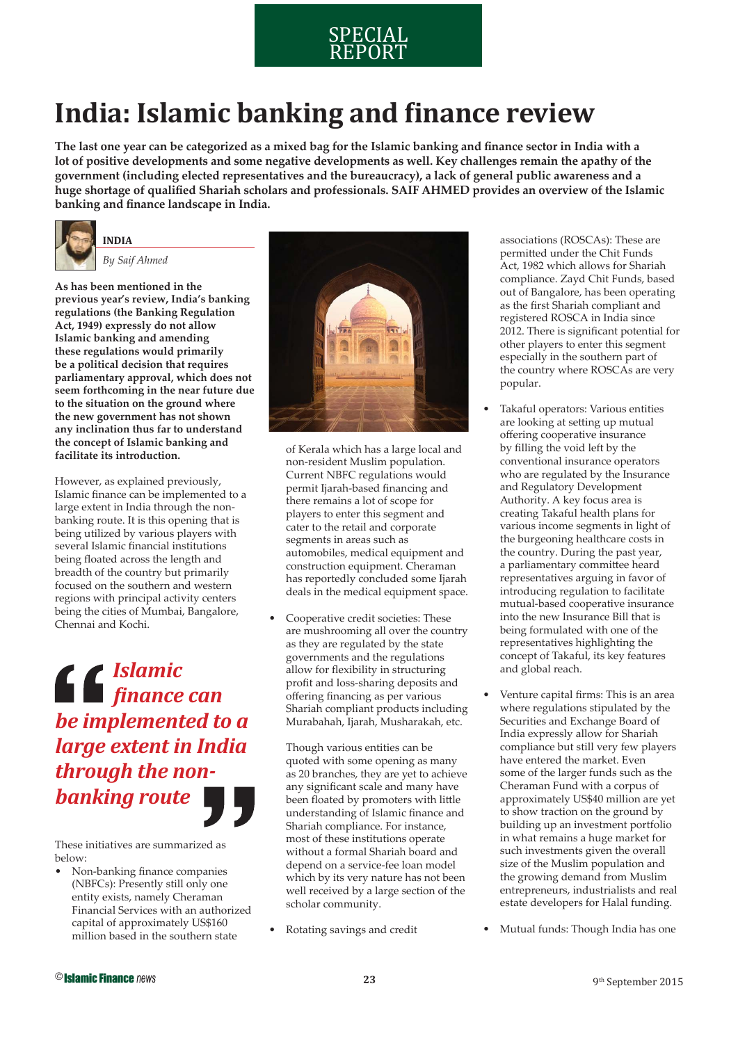### SPECIAL REPORT

## **India: Islamic banking and finance review**

The last one year can be categorized as a mixed bag for the Islamic banking and finance sector in India with a **lot of positive developments and some negative developments as well. Key challenges remain the apathy of the government (including elected representatives and the bureaucracy), a lack of general public awareness and a**  huge shortage of qualified Shariah scholars and professionals. SAIF AHMED provides an overview of the Islamic banking and finance landscape in India.



*By Saif Ahmed*

**As has been mentioned in the previous year's review, India's banking regulations (the Banking Regulation Act, 1949) expressly do not allow Islamic banking and amending these regulations would primarily be a political decision that requires parliamentary approval, which does not seem forthcoming in the near future due to the situation on the ground where the new government has not shown any inclination thus far to understand the concept of Islamic banking and facilitate its introduction.** 

However, as explained previously, Islamic finance can be implemented to a large extent in India through the nonbanking route. It is this opening that is being utilized by various players with several Islamic financial institutions being floated across the length and breadth of the country but primarily focused on the southern and western regions with principal activity centers being the cities of Mumbai, Bangalore, Chennai and Kochi.

*Islamic ϔinance can be implemented to a large extent in India through the nonbanking route*

These initiatives are summarized as below:

Non-banking finance companies (NBFCs): Presently still only one entity exists, namely Cheraman Financial Services with an authorized capital of approximately US\$160 million based in the southern state



of Kerala which has a large local and non-resident Muslim population. Current NBFC regulations would permit Ijarah-based financing and there remains a lot of scope for players to enter this segment and cater to the retail and corporate segments in areas such as automobiles, medical equipment and construction equipment. Cheraman has reportedly concluded some Ijarah deals in the medical equipment space.

• Cooperative credit societies: These are mushrooming all over the country as they are regulated by the state governments and the regulations allow for flexibility in structuring profit and loss-sharing deposits and offering financing as per various Shariah compliant products including Murabahah, Ijarah, Musharakah, etc.

 Though various entities can be quoted with some opening as many as 20 branches, they are yet to achieve any significant scale and many have been floated by promoters with little understanding of Islamic finance and Shariah compliance. For instance, most of these institutions operate without a formal Shariah board and depend on a service-fee loan model which by its very nature has not been well received by a large section of the scholar community.

• Rotating savings and credit

associations (ROSCAs): These are permitted under the Chit Funds Act, 1982 which allows for Shariah compliance. Zayd Chit Funds, based out of Bangalore, has been operating as the first Shariah compliant and registered ROSCA in India since  $2012$ . There is significant potential for other players to enter this segment especially in the southern part of the country where ROSCAs are very popular.

- Takaful operators: Various entities are looking at setting up mutual offering cooperative insurance by filling the void left by the conventional insurance operators who are regulated by the Insurance and Regulatory Development Authority. A key focus area is creating Takaful health plans for various income segments in light of the burgeoning healthcare costs in the country. During the past year, a parliamentary committee heard representatives arguing in favor of introducing regulation to facilitate mutual-based cooperative insurance into the new Insurance Bill that is being formulated with one of the representatives highlighting the concept of Takaful, its key features and global reach.
- Venture capital firms: This is an area where regulations stipulated by the Securities and Exchange Board of India expressly allow for Shariah compliance but still very few players have entered the market. Even some of the larger funds such as the Cheraman Fund with a corpus of approximately US\$40 million are yet to show traction on the ground by building up an investment portfolio in what remains a huge market for such investments given the overall size of the Muslim population and the growing demand from Muslim entrepreneurs, industrialists and real estate developers for Halal funding.
- Mutual funds: Though India has one